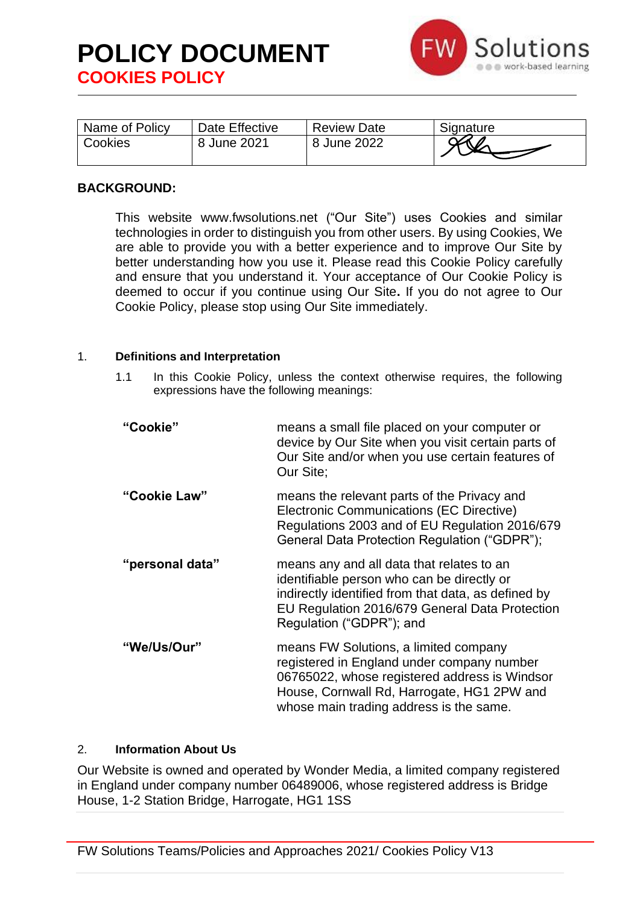

| Name of Policy | Date Effective | <b>Review Date</b> | Signature |
|----------------|----------------|--------------------|-----------|
| Cookies        | 8 June 2021    | 8 June 2022        |           |

# **BACKGROUND:**

This website www.fwsolutions.net ("Our Site") uses Cookies and similar technologies in order to distinguish you from other users. By using Cookies, We are able to provide you with a better experience and to improve Our Site by better understanding how you use it. Please read this Cookie Policy carefully and ensure that you understand it. Your acceptance of Our Cookie Policy is deemed to occur if you continue using Our Site**.** If you do not agree to Our Cookie Policy, please stop using Our Site immediately.

### 1. **Definitions and Interpretation**

1.1 In this Cookie Policy, unless the context otherwise requires, the following expressions have the following meanings:

| "Cookie"        | means a small file placed on your computer or<br>device by Our Site when you visit certain parts of<br>Our Site and/or when you use certain features of<br>Our Site;                                                          |
|-----------------|-------------------------------------------------------------------------------------------------------------------------------------------------------------------------------------------------------------------------------|
| "Cookie Law"    | means the relevant parts of the Privacy and<br><b>Electronic Communications (EC Directive)</b><br>Regulations 2003 and of EU Regulation 2016/679<br>General Data Protection Regulation ("GDPR");                              |
| "personal data" | means any and all data that relates to an<br>identifiable person who can be directly or<br>indirectly identified from that data, as defined by<br>EU Regulation 2016/679 General Data Protection<br>Regulation ("GDPR"); and  |
| "We/Us/Our"     | means FW Solutions, a limited company<br>registered in England under company number<br>06765022, whose registered address is Windsor<br>House, Cornwall Rd, Harrogate, HG1 2PW and<br>whose main trading address is the same. |

### 2. **Information About Us**

Our Website is owned and operated by Wonder Media, a limited company registered in England under company number 06489006, whose registered address is Bridge House, 1-2 Station Bridge, Harrogate, HG1 1SS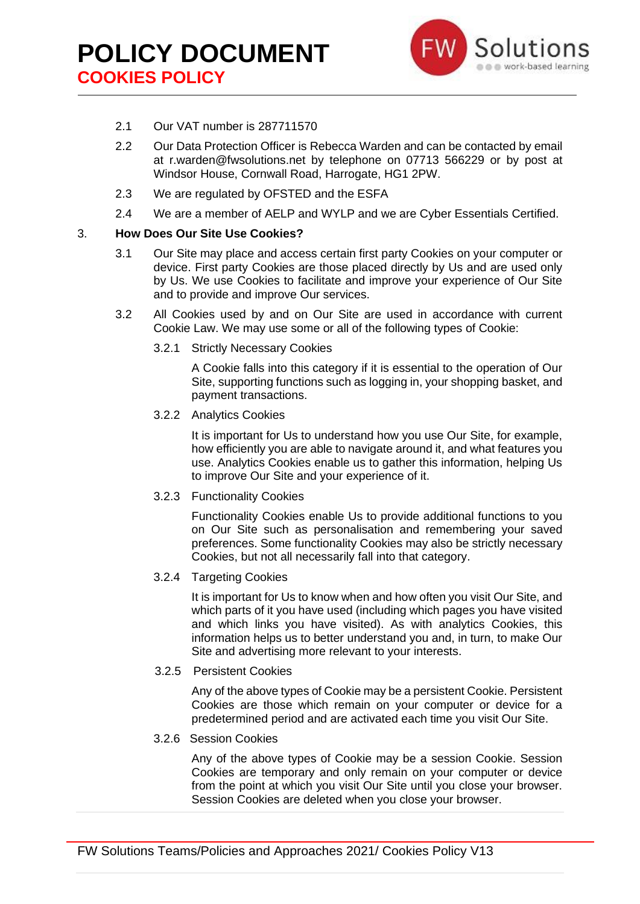

- 2.1 Our VAT number is 287711570
- 2.2 Our Data Protection Officer is Rebecca Warden and can be contacted by email at r.warden@fwsolutions.net by telephone on 07713 566229 or by post at Windsor House, Cornwall Road, Harrogate, HG1 2PW.
- 2.3 We are regulated by OFSTED and the ESFA
- 2.4 We are a member of AELP and WYLP and we are Cyber Essentials Certified.

#### 3. **How Does Our Site Use Cookies?**

- 3.1 Our Site may place and access certain first party Cookies on your computer or device. First party Cookies are those placed directly by Us and are used only by Us. We use Cookies to facilitate and improve your experience of Our Site and to provide and improve Our services.
- 3.2 All Cookies used by and on Our Site are used in accordance with current Cookie Law. We may use some or all of the following types of Cookie:
	- 3.2.1 Strictly Necessary Cookies

A Cookie falls into this category if it is essential to the operation of Our Site, supporting functions such as logging in, your shopping basket, and payment transactions.

3.2.2 Analytics Cookies

It is important for Us to understand how you use Our Site, for example, how efficiently you are able to navigate around it, and what features you use. Analytics Cookies enable us to gather this information, helping Us to improve Our Site and your experience of it.

3.2.3 Functionality Cookies

Functionality Cookies enable Us to provide additional functions to you on Our Site such as personalisation and remembering your saved preferences. Some functionality Cookies may also be strictly necessary Cookies, but not all necessarily fall into that category.

3.2.4 Targeting Cookies

It is important for Us to know when and how often you visit Our Site, and which parts of it you have used (including which pages you have visited and which links you have visited). As with analytics Cookies, this information helps us to better understand you and, in turn, to make Our Site and advertising more relevant to your interests.

3.2.5 Persistent Cookies

Any of the above types of Cookie may be a persistent Cookie. Persistent Cookies are those which remain on your computer or device for a predetermined period and are activated each time you visit Our Site.

3.2.6 Session Cookies

Any of the above types of Cookie may be a session Cookie. Session Cookies are temporary and only remain on your computer or device from the point at which you visit Our Site until you close your browser. Session Cookies are deleted when you close your browser.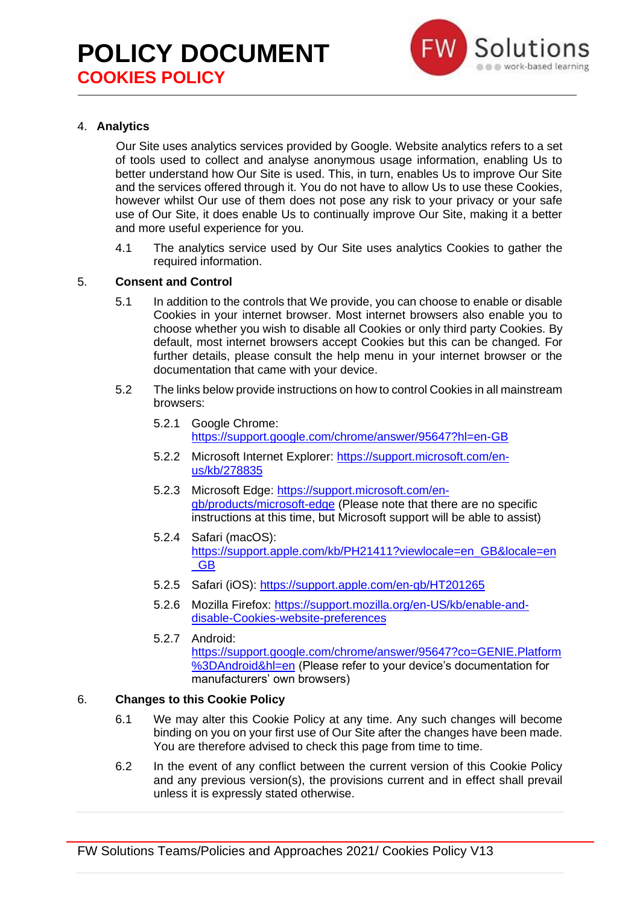# **POLICY DOCUMENT COOKIES POLICY**



# 4. **Analytics**

Our Site uses analytics services provided by Google. Website analytics refers to a set of tools used to collect and analyse anonymous usage information, enabling Us to better understand how Our Site is used. This, in turn, enables Us to improve Our Site and the services offered through it. You do not have to allow Us to use these Cookies, however whilst Our use of them does not pose any risk to your privacy or your safe use of Our Site, it does enable Us to continually improve Our Site, making it a better and more useful experience for you.

4.1 The analytics service used by Our Site uses analytics Cookies to gather the required information.

## 5. **Consent and Control**

- 5.1 In addition to the controls that We provide, you can choose to enable or disable Cookies in your internet browser. Most internet browsers also enable you to choose whether you wish to disable all Cookies or only third party Cookies. By default, most internet browsers accept Cookies but this can be changed. For further details, please consult the help menu in your internet browser or the documentation that came with your device.
- 5.2 The links below provide instructions on how to control Cookies in all mainstream browsers:
	- 5.2.1 Google Chrome: <https://support.google.com/chrome/answer/95647?hl=en-GB>
	- 5.2.2 Microsoft Internet Explorer: [https://support.microsoft.com/en](https://support.microsoft.com/en-us/kb/278835)[us/kb/278835](https://support.microsoft.com/en-us/kb/278835)
	- 5.2.3 Microsoft Edge: [https://support.microsoft.com/en](https://support.microsoft.com/en-gb/products/microsoft-edge)[gb/products/microsoft-edge](https://support.microsoft.com/en-gb/products/microsoft-edge) (Please note that there are no specific instructions at this time, but Microsoft support will be able to assist)
	- 5.2.4 Safari (macOS): [https://support.apple.com/kb/PH21411?viewlocale=en\\_GB&locale=en](https://support.apple.com/kb/PH21411?viewlocale=en_GB&locale=en_GB) [\\_GB](https://support.apple.com/kb/PH21411?viewlocale=en_GB&locale=en_GB)
	- 5.2.5 Safari (iOS):<https://support.apple.com/en-gb/HT201265>
	- 5.2.6 Mozilla Firefox: [https://support.mozilla.org/en-US/kb/enable-and](https://support.mozilla.org/en-US/kb/enable-and-disable-cookies-website-preferences)[disable-Cookies-website-preferences](https://support.mozilla.org/en-US/kb/enable-and-disable-cookies-website-preferences)
	- 5.2.7 Android: [https://support.google.com/chrome/answer/95647?co=GENIE.Platform](https://support.google.com/chrome/answer/95647?co=GENIE.Platform%3DAndroid&hl=en) [%3DAndroid&hl=en](https://support.google.com/chrome/answer/95647?co=GENIE.Platform%3DAndroid&hl=en) (Please refer to your device's documentation for manufacturers' own browsers)

### 6. **Changes to this Cookie Policy**

- 6.1 We may alter this Cookie Policy at any time. Any such changes will become binding on you on your first use of Our Site after the changes have been made. You are therefore advised to check this page from time to time.
- 6.2 In the event of any conflict between the current version of this Cookie Policy and any previous version(s), the provisions current and in effect shall prevail unless it is expressly stated otherwise.